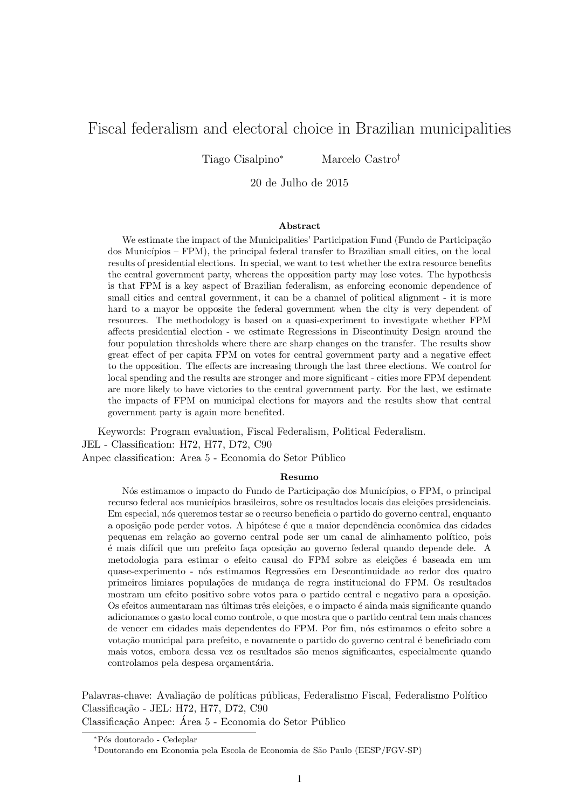# Fiscal federalism and electoral choice in Brazilian municipalities

Tiago Cisalpino<sup>∗</sup> Marcelo Castro†

20 de Julho de 2015

#### Abstract

We estimate the impact of the Municipalities' Participation Fund (Fundo de Participação dos Municípios – FPM), the principal federal transfer to Brazilian small cities, on the local results of presidential elections. In special, we want to test whether the extra resource benefits the central government party, whereas the opposition party may lose votes. The hypothesis is that FPM is a key aspect of Brazilian federalism, as enforcing economic dependence of small cities and central government, it can be a channel of political alignment - it is more hard to a mayor be opposite the federal government when the city is very dependent of resources. The methodology is based on a quasi-experiment to investigate whether FPM affects presidential election - we estimate Regressions in Discontinuity Design around the four population thresholds where there are sharp changes on the transfer. The results show great effect of per capita FPM on votes for central government party and a negative effect to the opposition. The effects are increasing through the last three elections. We control for local spending and the results are stronger and more significant - cities more FPM dependent are more likely to have victories to the central government party. For the last, we estimate the impacts of FPM on municipal elections for mayors and the results show that central government party is again more benefited.

Keywords: Program evaluation, Fiscal Federalism, Political Federalism. JEL - Classification: H72, H77, D72, C90 Anpec classification: Area 5 - Economia do Setor Público

### Resumo

Nós estimamos o impacto do Fundo de Participação dos Municípios, o FPM, o principal recurso federal aos municípios brasileiros, sobre os resultados locais das eleições presidenciais. Em especial, nós queremos testar se o recurso beneficia o partido do governo central, enquanto a oposição pode perder votos. A hipótese é que a maior dependência econômica das cidades pequenas em relação ao governo central pode ser um canal de alinhamento político, pois  $\acute{e}$  mais difícil que um prefeito faça oposição ao governo federal quando depende dele. A metodologia para estimar o efeito causal do FPM sobre as eleições é baseada em um quase-experimento - nós estimamos Regressões em Descontinuidade ao redor dos quatro primeiros limiares populações de mudança de regra institucional do FPM. Os resultados mostram um efeito positivo sobre votos para o partido central e negativo para a oposição. Os efeitos aumentaram nas últimas três eleições, e o impacto é ainda mais significante quando adicionamos o gasto local como controle, o que mostra que o partido central tem mais chances de vencer em cidades mais dependentes do FPM. Por fim, nós estimamos o efeito sobre a votação municipal para prefeito, e novamente o partido do governo central é beneficiado com mais votos, embora dessa vez os resultados são menos significantes, especialmente quando controlamos pela despesa orçamentária.

Palavras-chave: Avaliação de políticas públicas, Federalismo Fiscal, Federalismo Político Classificação - JEL: H72, H77, D72, C90

Classificação Anpec: Área 5 - Economia do Setor Público

<sup>∗</sup>P´os doutorado - Cedeplar

<sup>†</sup>Doutorando em Economia pela Escola de Economia de S˜ao Paulo (EESP/FGV-SP)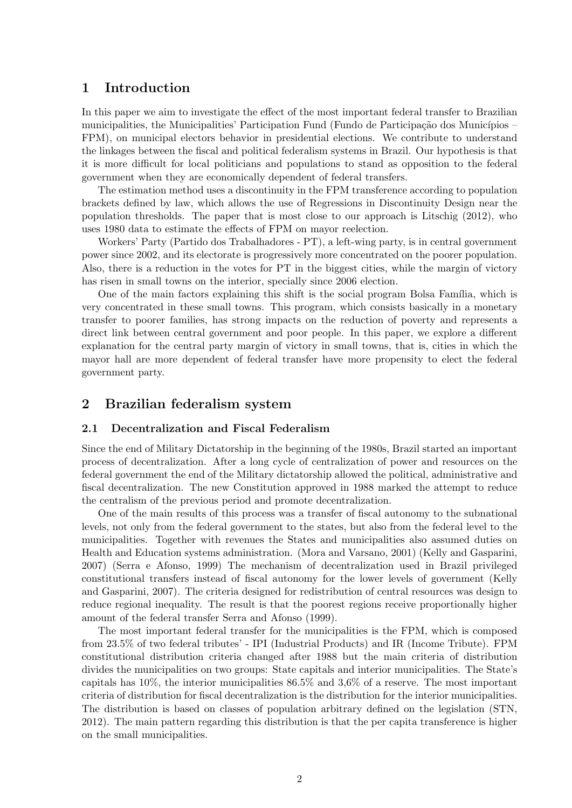## 1 Introduction

In this paper we aim to investigate the effect of the most important federal transfer to Brazilian municipalities, the Municipalities' Participation Fund (Fundo de Participação dos Municípios – FPM), on municipal electors behavior in presidential elections. We contribute to understand the linkages between the fiscal and political federalism systems in Brazil. Our hypothesis is that it is more difficult for local politicians and populations to stand as opposition to the federal government when they are economically dependent of federal transfers.

The estimation method uses a discontinuity in the FPM transference according to population brackets defined by law, which allows the use of Regressions in Discontinuity Design near the population thresholds. The paper that is most close to our approach is Litschig (2012), who uses 1980 data to estimate the effects of FPM on mayor reelection.

Workers' Party (Partido dos Trabalhadores - PT), a left-wing party, is in central government power since 2002, and its electorate is progressively more concentrated on the poorer population. Also, there is a reduction in the votes for PT in the biggest cities, while the margin of victory has risen in small towns on the interior, specially since 2006 election.

One of the main factors explaining this shift is the social program Bolsa Família, which is very concentrated in these small towns. This program, which consists basically in a monetary transfer to poorer families, has strong impacts on the reduction of poverty and represents a direct link between central government and poor people. In this paper, we explore a different explanation for the central party margin of victory in small towns, that is, cities in which the mayor hall are more dependent of federal transfer have more propensity to elect the federal government party.

## 2 Brazilian federalism system

### 2.1 Decentralization and Fiscal Federalism

Since the end of Military Dictatorship in the beginning of the 1980s, Brazil started an important process of decentralization. After a long cycle of centralization of power and resources on the federal government the end of the Military dictatorship allowed the political, administrative and fiscal decentralization. The new Constitution approved in 1988 marked the attempt to reduce the centralism of the previous period and promote decentralization.

One of the main results of this process was a transfer of fiscal autonomy to the subnational levels, not only from the federal government to the states, but also from the federal level to the municipalities. Together with revenues the States and municipalities also assumed duties on Health and Education systems administration. (Mora and Varsano, 2001) (Kelly and Gasparini, 2007) (Serra e Afonso, 1999) The mechanism of decentralization used in Brazil privileged constitutional transfers instead of fiscal autonomy for the lower levels of government (Kelly and Gasparini, 2007). The criteria designed for redistribution of central resources was design to reduce regional inequality. The result is that the poorest regions receive proportionally higher amount of the federal transfer Serra and Afonso (1999).

The most important federal transfer for the municipalities is the FPM, which is composed from 23.5% of two federal tributes' - IPI (Industrial Products) and IR (Income Tribute). FPM constitutional distribution criteria changed after 1988 but the main criteria of distribution divides the municipalities on two groups: State capitals and interior municipalities. The State's capitals has 10%, the interior municipalities 86.5% and 3,6% of a reserve. The most important criteria of distribution for fiscal decentralization is the distribution for the interior municipalities. The distribution is based on classes of population arbitrary defined on the legislation (STN, 2012). The main pattern regarding this distribution is that the per capita transference is higher on the small municipalities.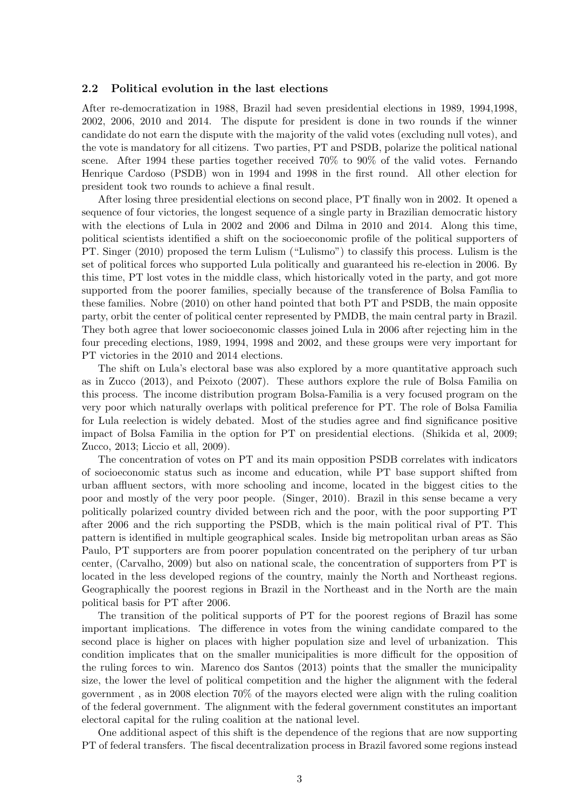### 2.2 Political evolution in the last elections

After re-democratization in 1988, Brazil had seven presidential elections in 1989, 1994,1998, 2002, 2006, 2010 and 2014. The dispute for president is done in two rounds if the winner candidate do not earn the dispute with the majority of the valid votes (excluding null votes), and the vote is mandatory for all citizens. Two parties, PT and PSDB, polarize the political national scene. After 1994 these parties together received 70% to 90% of the valid votes. Fernando Henrique Cardoso (PSDB) won in 1994 and 1998 in the first round. All other election for president took two rounds to achieve a final result.

After losing three presidential elections on second place, PT finally won in 2002. It opened a sequence of four victories, the longest sequence of a single party in Brazilian democratic history with the elections of Lula in 2002 and 2006 and Dilma in 2010 and 2014. Along this time, political scientists identified a shift on the socioeconomic profile of the political supporters of PT. Singer (2010) proposed the term Lulism ("Lulismo") to classify this process. Lulism is the set of political forces who supported Lula politically and guaranteed his re-election in 2006. By this time, PT lost votes in the middle class, which historically voted in the party, and got more supported from the poorer families, specially because of the transference of Bolsa Família to these families. Nobre (2010) on other hand pointed that both PT and PSDB, the main opposite party, orbit the center of political center represented by PMDB, the main central party in Brazil. They both agree that lower socioeconomic classes joined Lula in 2006 after rejecting him in the four preceding elections, 1989, 1994, 1998 and 2002, and these groups were very important for PT victories in the 2010 and 2014 elections.

The shift on Lula's electoral base was also explored by a more quantitative approach such as in Zucco (2013), and Peixoto (2007). These authors explore the rule of Bolsa Familia on this process. The income distribution program Bolsa-Familia is a very focused program on the very poor which naturally overlaps with political preference for PT. The role of Bolsa Familia for Lula reelection is widely debated. Most of the studies agree and find significance positive impact of Bolsa Familia in the option for PT on presidential elections. (Shikida et al, 2009; Zucco, 2013; Liccio et all, 2009).

The concentration of votes on PT and its main opposition PSDB correlates with indicators of socioeconomic status such as income and education, while PT base support shifted from urban affluent sectors, with more schooling and income, located in the biggest cities to the poor and mostly of the very poor people. (Singer, 2010). Brazil in this sense became a very politically polarized country divided between rich and the poor, with the poor supporting PT after 2006 and the rich supporting the PSDB, which is the main political rival of PT. This pattern is identified in multiple geographical scales. Inside big metropolitan urban areas as S˜ao Paulo, PT supporters are from poorer population concentrated on the periphery of tur urban center, (Carvalho, 2009) but also on national scale, the concentration of supporters from PT is located in the less developed regions of the country, mainly the North and Northeast regions. Geographically the poorest regions in Brazil in the Northeast and in the North are the main political basis for PT after 2006.

The transition of the political supports of PT for the poorest regions of Brazil has some important implications. The difference in votes from the wining candidate compared to the second place is higher on places with higher population size and level of urbanization. This condition implicates that on the smaller municipalities is more difficult for the opposition of the ruling forces to win. Marenco dos Santos (2013) points that the smaller the municipality size, the lower the level of political competition and the higher the alignment with the federal government , as in 2008 election 70% of the mayors elected were align with the ruling coalition of the federal government. The alignment with the federal government constitutes an important electoral capital for the ruling coalition at the national level.

One additional aspect of this shift is the dependence of the regions that are now supporting PT of federal transfers. The fiscal decentralization process in Brazil favored some regions instead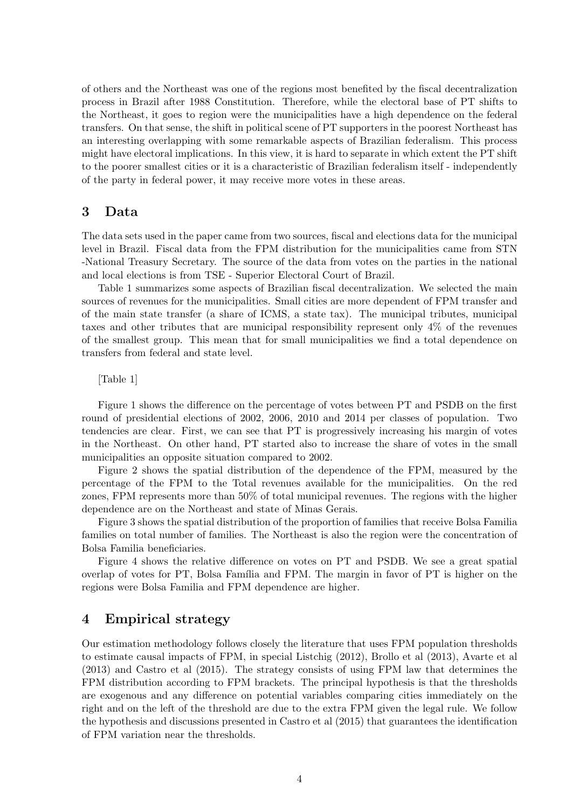of others and the Northeast was one of the regions most benefited by the fiscal decentralization process in Brazil after 1988 Constitution. Therefore, while the electoral base of PT shifts to the Northeast, it goes to region were the municipalities have a high dependence on the federal transfers. On that sense, the shift in political scene of PT supporters in the poorest Northeast has an interesting overlapping with some remarkable aspects of Brazilian federalism. This process might have electoral implications. In this view, it is hard to separate in which extent the PT shift to the poorer smallest cities or it is a characteristic of Brazilian federalism itself - independently of the party in federal power, it may receive more votes in these areas.

## 3 Data

The data sets used in the paper came from two sources, fiscal and elections data for the municipal level in Brazil. Fiscal data from the FPM distribution for the municipalities came from STN -National Treasury Secretary. The source of the data from votes on the parties in the national and local elections is from TSE - Superior Electoral Court of Brazil.

Table 1 summarizes some aspects of Brazilian fiscal decentralization. We selected the main sources of revenues for the municipalities. Small cities are more dependent of FPM transfer and of the main state transfer (a share of ICMS, a state tax). The municipal tributes, municipal taxes and other tributes that are municipal responsibility represent only 4% of the revenues of the smallest group. This mean that for small municipalities we find a total dependence on transfers from federal and state level.

[Table 1]

Figure 1 shows the difference on the percentage of votes between PT and PSDB on the first round of presidential elections of 2002, 2006, 2010 and 2014 per classes of population. Two tendencies are clear. First, we can see that PT is progressively increasing his margin of votes in the Northeast. On other hand, PT started also to increase the share of votes in the small municipalities an opposite situation compared to 2002.

Figure 2 shows the spatial distribution of the dependence of the FPM, measured by the percentage of the FPM to the Total revenues available for the municipalities. On the red zones, FPM represents more than 50% of total municipal revenues. The regions with the higher dependence are on the Northeast and state of Minas Gerais.

Figure 3 shows the spatial distribution of the proportion of families that receive Bolsa Familia families on total number of families. The Northeast is also the region were the concentration of Bolsa Familia beneficiaries.

Figure 4 shows the relative difference on votes on PT and PSDB. We see a great spatial overlap of votes for PT, Bolsa Família and FPM. The margin in favor of PT is higher on the regions were Bolsa Familia and FPM dependence are higher.

# 4 Empirical strategy

Our estimation methodology follows closely the literature that uses FPM population thresholds to estimate causal impacts of FPM, in special Listchig (2012), Brollo et al (2013), Avarte et al (2013) and Castro et al (2015). The strategy consists of using FPM law that determines the FPM distribution according to FPM brackets. The principal hypothesis is that the thresholds are exogenous and any difference on potential variables comparing cities immediately on the right and on the left of the threshold are due to the extra FPM given the legal rule. We follow the hypothesis and discussions presented in Castro et al (2015) that guarantees the identification of FPM variation near the thresholds.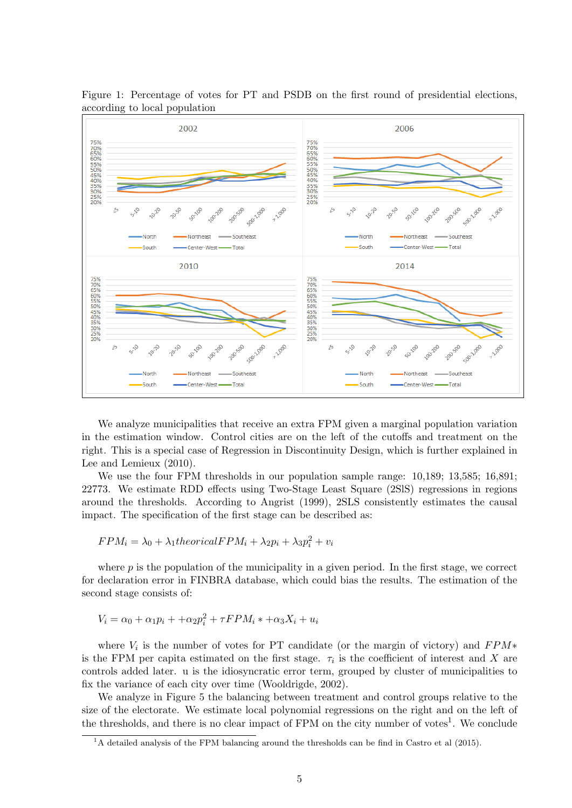

Figure 1: Percentage of votes for PT and PSDB on the first round of presidential elections, according to local population

We analyze municipalities that receive an extra FPM given a marginal population variation in the estimation window. Control cities are on the left of the cutoffs and treatment on the right. This is a special case of Regression in Discontinuity Design, which is further explained in Lee and Lemieux (2010).

We use the four FPM thresholds in our population sample range:  $10,189$ ;  $13,585$ ;  $16,891$ ; 22773. We estimate RDD effects using Two-Stage Least Square (2SlS) regressions in regions around the thresholds. According to Angrist (1999), 2SLS consistently estimates the causal impact. The specification of the first stage can be described as:

$$
FPM_i = \lambda_0 + \lambda_1 the orical FPM_i + \lambda_2 p_i + \lambda_3 p_i^2 + v_i
$$

where  $p$  is the population of the municipality in a given period. In the first stage, we correct for declaration error in FINBRA database, which could bias the results. The estimation of the second stage consists of:

$$
V_i = \alpha_0 + \alpha_1 p_i + \alpha_2 p_i^2 + \tau F P M_i * + \alpha_3 X_i + u_i
$$

where  $V_i$  is the number of votes for PT candidate (or the margin of victory) and  $FPM*$ is the FPM per capita estimated on the first stage.  $\tau_i$  is the coefficient of interest and X are controls added later. u is the idiosyncratic error term, grouped by cluster of municipalities to fix the variance of each city over time (Wooldrigde, 2002).

We analyze in Figure 5 the balancing between treatment and control groups relative to the size of the electorate. We estimate local polynomial regressions on the right and on the left of the thresholds, and there is no clear impact of  $FPM$  on the city number of votes<sup>1</sup>. We conclude

<sup>&</sup>lt;sup>1</sup>A detailed analysis of the FPM balancing around the thresholds can be find in Castro et al (2015).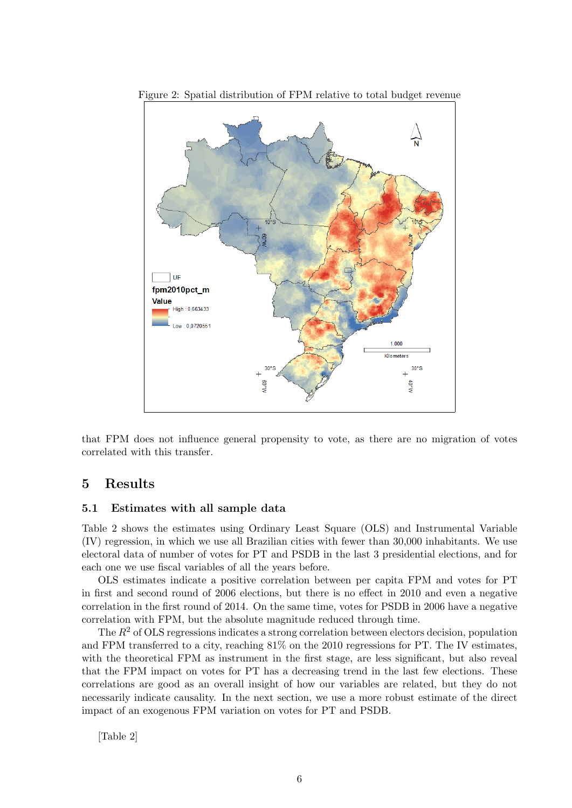

Figure 2: Spatial distribution of FPM relative to total budget revenue

that FPM does not influence general propensity to vote, as there are no migration of votes correlated with this transfer.

# 5 Results

## 5.1 Estimates with all sample data

Table 2 shows the estimates using Ordinary Least Square (OLS) and Instrumental Variable (IV) regression, in which we use all Brazilian cities with fewer than 30,000 inhabitants. We use electoral data of number of votes for PT and PSDB in the last 3 presidential elections, and for each one we use fiscal variables of all the years before.

OLS estimates indicate a positive correlation between per capita FPM and votes for PT in first and second round of 2006 elections, but there is no effect in 2010 and even a negative correlation in the first round of 2014. On the same time, votes for PSDB in 2006 have a negative correlation with FPM, but the absolute magnitude reduced through time.

The  $R^2$  of OLS regressions indicates a strong correlation between electors decision, population and FPM transferred to a city, reaching 81% on the 2010 regressions for PT. The IV estimates, with the theoretical FPM as instrument in the first stage, are less significant, but also reveal that the FPM impact on votes for PT has a decreasing trend in the last few elections. These correlations are good as an overall insight of how our variables are related, but they do not necessarily indicate causality. In the next section, we use a more robust estimate of the direct impact of an exogenous FPM variation on votes for PT and PSDB.

[Table 2]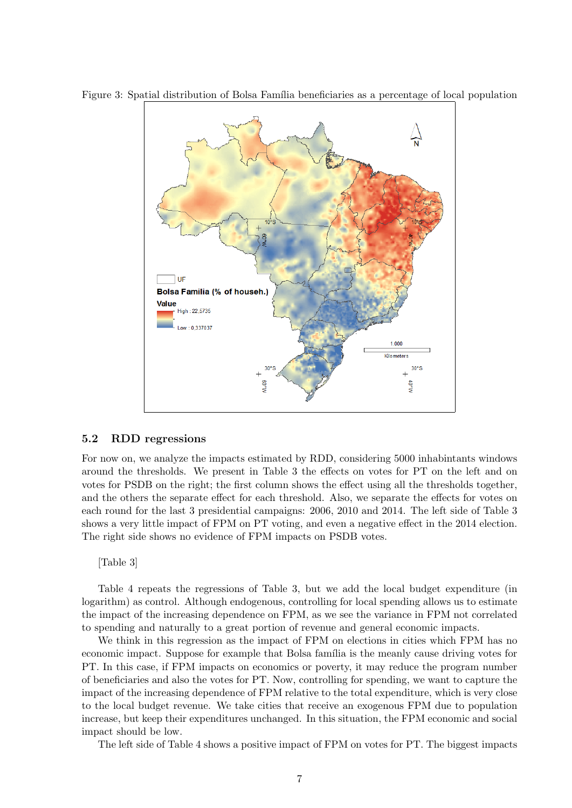

Figure 3: Spatial distribution of Bolsa Família beneficiaries as a percentage of local population

### 5.2 RDD regressions

For now on, we analyze the impacts estimated by RDD, considering 5000 inhabintants windows around the thresholds. We present in Table 3 the effects on votes for PT on the left and on votes for PSDB on the right; the first column shows the effect using all the thresholds together, and the others the separate effect for each threshold. Also, we separate the effects for votes on each round for the last 3 presidential campaigns: 2006, 2010 and 2014. The left side of Table 3 shows a very little impact of FPM on PT voting, and even a negative effect in the 2014 election. The right side shows no evidence of FPM impacts on PSDB votes.

[Table 3]

Table 4 repeats the regressions of Table 3, but we add the local budget expenditure (in logarithm) as control. Although endogenous, controlling for local spending allows us to estimate the impact of the increasing dependence on FPM, as we see the variance in FPM not correlated to spending and naturally to a great portion of revenue and general economic impacts.

We think in this regression as the impact of FPM on elections in cities which FPM has no economic impact. Suppose for example that Bolsa família is the meanly cause driving votes for PT. In this case, if FPM impacts on economics or poverty, it may reduce the program number of beneficiaries and also the votes for PT. Now, controlling for spending, we want to capture the impact of the increasing dependence of FPM relative to the total expenditure, which is very close to the local budget revenue. We take cities that receive an exogenous FPM due to population increase, but keep their expenditures unchanged. In this situation, the FPM economic and social impact should be low.

The left side of Table 4 shows a positive impact of FPM on votes for PT. The biggest impacts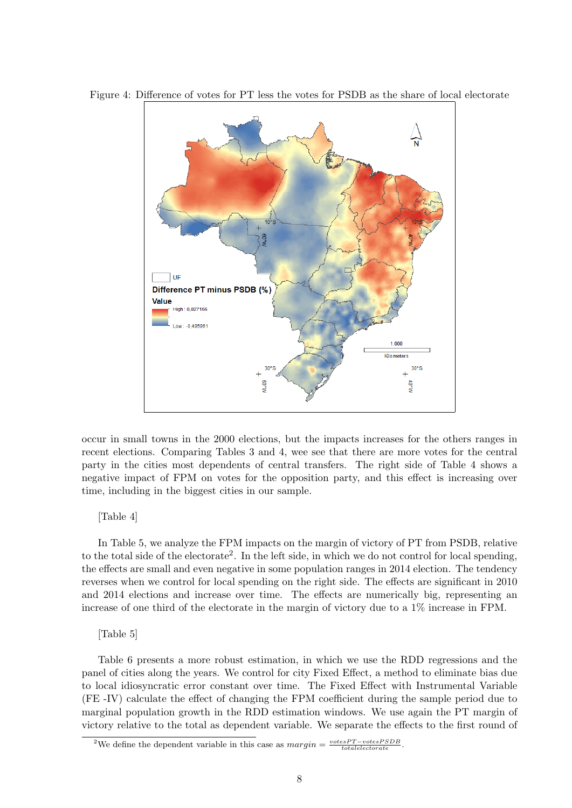

Figure 4: Difference of votes for PT less the votes for PSDB as the share of local electorate

occur in small towns in the 2000 elections, but the impacts increases for the others ranges in recent elections. Comparing Tables 3 and 4, wee see that there are more votes for the central party in the cities most dependents of central transfers. The right side of Table 4 shows a negative impact of FPM on votes for the opposition party, and this effect is increasing over time, including in the biggest cities in our sample.

### [Table 4]

In Table 5, we analyze the FPM impacts on the margin of victory of PT from PSDB, relative to the total side of the electorate<sup>2</sup>. In the left side, in which we do not control for local spending, the effects are small and even negative in some population ranges in 2014 election. The tendency reverses when we control for local spending on the right side. The effects are significant in 2010 and 2014 elections and increase over time. The effects are numerically big, representing an increase of one third of the electorate in the margin of victory due to a 1% increase in FPM.

### [Table 5]

Table 6 presents a more robust estimation, in which we use the RDD regressions and the panel of cities along the years. We control for city Fixed Effect, a method to eliminate bias due to local idiosyncratic error constant over time. The Fixed Effect with Instrumental Variable (FE -IV) calculate the effect of changing the FPM coefficient during the sample period due to marginal population growth in the RDD estimation windows. We use again the PT margin of victory relative to the total as dependent variable. We separate the effects to the first round of

<sup>&</sup>lt;sup>2</sup>We define the dependent variable in this case as  $margin = \frac{votesPT - votesPSDB}{totalelectorate}$ .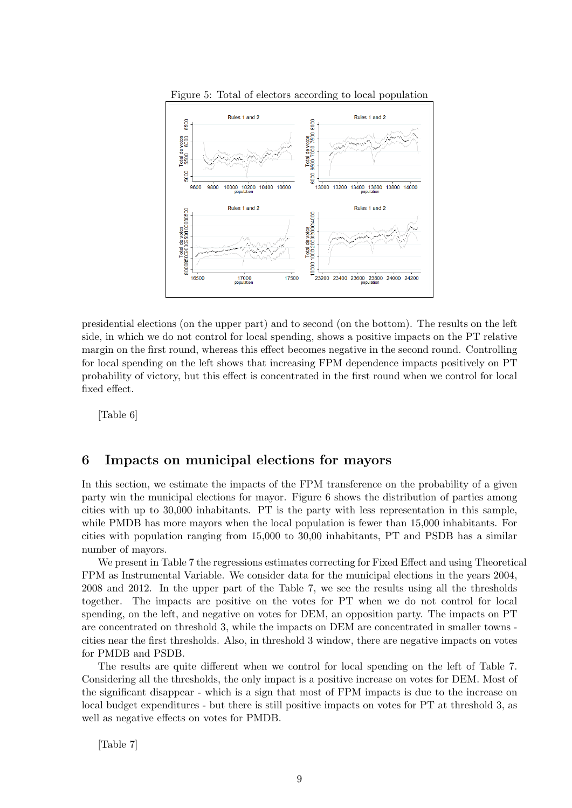

Figure 5: Total of electors according to local population

presidential elections (on the upper part) and to second (on the bottom). The results on the left side, in which we do not control for local spending, shows a positive impacts on the PT relative margin on the first round, whereas this effect becomes negative in the second round. Controlling for local spending on the left shows that increasing FPM dependence impacts positively on PT probability of victory, but this effect is concentrated in the first round when we control for local fixed effect.

[Table 6]

# 6 Impacts on municipal elections for mayors

In this section, we estimate the impacts of the FPM transference on the probability of a given party win the municipal elections for mayor. Figure 6 shows the distribution of parties among cities with up to 30,000 inhabitants. PT is the party with less representation in this sample, while PMDB has more mayors when the local population is fewer than 15,000 inhabitants. For cities with population ranging from 15,000 to 30,00 inhabitants, PT and PSDB has a similar number of mayors.

We present in Table 7 the regressions estimates correcting for Fixed Effect and using Theoretical FPM as Instrumental Variable. We consider data for the municipal elections in the years 2004, 2008 and 2012. In the upper part of the Table 7, we see the results using all the thresholds together. The impacts are positive on the votes for PT when we do not control for local spending, on the left, and negative on votes for DEM, an opposition party. The impacts on PT are concentrated on threshold 3, while the impacts on DEM are concentrated in smaller towns cities near the first thresholds. Also, in threshold 3 window, there are negative impacts on votes for PMDB and PSDB.

The results are quite different when we control for local spending on the left of Table 7. Considering all the thresholds, the only impact is a positive increase on votes for DEM. Most of the significant disappear - which is a sign that most of FPM impacts is due to the increase on local budget expenditures - but there is still positive impacts on votes for PT at threshold 3, as well as negative effects on votes for PMDB.

[Table 7]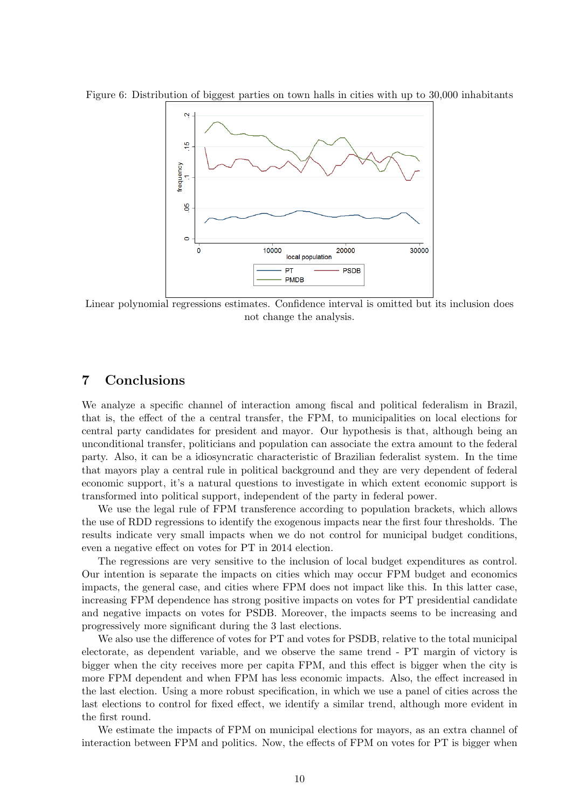Figure 6: Distribution of biggest parties on town halls in cities with up to 30,000 inhabitants



Linear polynomial regressions estimates. Confidence interval is omitted but its inclusion does not change the analysis.

## 7 Conclusions

We analyze a specific channel of interaction among fiscal and political federalism in Brazil, that is, the effect of the a central transfer, the FPM, to municipalities on local elections for central party candidates for president and mayor. Our hypothesis is that, although being an unconditional transfer, politicians and population can associate the extra amount to the federal party. Also, it can be a idiosyncratic characteristic of Brazilian federalist system. In the time that mayors play a central rule in political background and they are very dependent of federal economic support, it's a natural questions to investigate in which extent economic support is transformed into political support, independent of the party in federal power.

We use the legal rule of FPM transference according to population brackets, which allows the use of RDD regressions to identify the exogenous impacts near the first four thresholds. The results indicate very small impacts when we do not control for municipal budget conditions, even a negative effect on votes for PT in 2014 election.

The regressions are very sensitive to the inclusion of local budget expenditures as control. Our intention is separate the impacts on cities which may occur FPM budget and economics impacts, the general case, and cities where FPM does not impact like this. In this latter case, increasing FPM dependence has strong positive impacts on votes for PT presidential candidate and negative impacts on votes for PSDB. Moreover, the impacts seems to be increasing and progressively more significant during the 3 last elections.

We also use the difference of votes for PT and votes for PSDB, relative to the total municipal electorate, as dependent variable, and we observe the same trend - PT margin of victory is bigger when the city receives more per capita FPM, and this effect is bigger when the city is more FPM dependent and when FPM has less economic impacts. Also, the effect increased in the last election. Using a more robust specification, in which we use a panel of cities across the last elections to control for fixed effect, we identify a similar trend, although more evident in the first round.

We estimate the impacts of FPM on municipal elections for mayors, as an extra channel of interaction between FPM and politics. Now, the effects of FPM on votes for PT is bigger when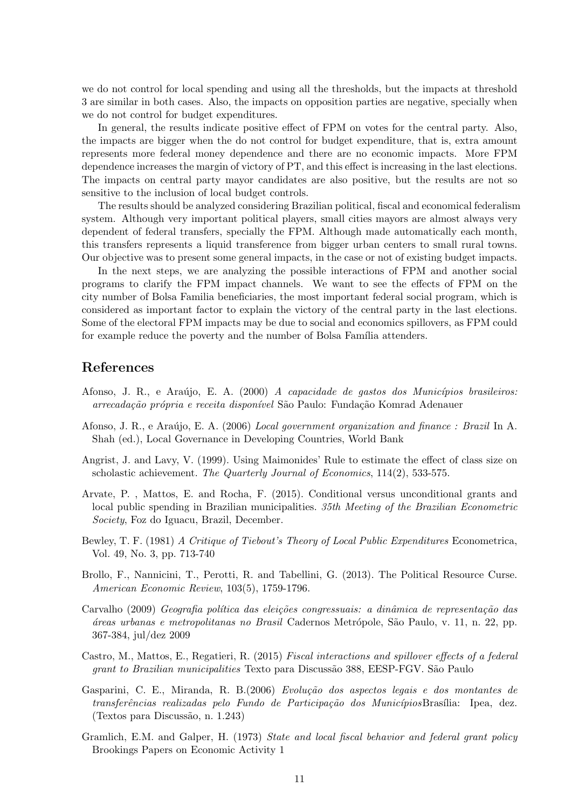we do not control for local spending and using all the thresholds, but the impacts at threshold 3 are similar in both cases. Also, the impacts on opposition parties are negative, specially when we do not control for budget expenditures.

In general, the results indicate positive effect of FPM on votes for the central party. Also, the impacts are bigger when the do not control for budget expenditure, that is, extra amount represents more federal money dependence and there are no economic impacts. More FPM dependence increases the margin of victory of PT, and this effect is increasing in the last elections. The impacts on central party mayor candidates are also positive, but the results are not so sensitive to the inclusion of local budget controls.

The results should be analyzed considering Brazilian political, fiscal and economical federalism system. Although very important political players, small cities mayors are almost always very dependent of federal transfers, specially the FPM. Although made automatically each month, this transfers represents a liquid transference from bigger urban centers to small rural towns. Our objective was to present some general impacts, in the case or not of existing budget impacts.

In the next steps, we are analyzing the possible interactions of FPM and another social programs to clarify the FPM impact channels. We want to see the effects of FPM on the city number of Bolsa Familia beneficiaries, the most important federal social program, which is considered as important factor to explain the victory of the central party in the last elections. Some of the electoral FPM impacts may be due to social and economics spillovers, as FPM could for example reduce the poverty and the number of Bolsa Família attenders.

## References

- Afonso, J. R., e Araújo, E. A. (2000) A capacidade de gastos dos Municípios brasileiros: arrecadação própria e receita disponível São Paulo: Fundação Komrad Adenauer
- Afonso, J. R., e Araújo, E. A. (2006) Local government organization and finance : Brazil In A. Shah (ed.), Local Governance in Developing Countries, World Bank
- Angrist, J. and Lavy, V. (1999). Using Maimonides' Rule to estimate the effect of class size on scholastic achievement. The Quarterly Journal of Economics, 114(2), 533-575.
- Arvate, P. , Mattos, E. and Rocha, F. (2015). Conditional versus unconditional grants and local public spending in Brazilian municipalities. 35th Meeting of the Brazilian Econometric Society, Foz do Iguacu, Brazil, December.
- Bewley, T. F. (1981) A Critique of Tiebout's Theory of Local Public Expenditures Econometrica, Vol. 49, No. 3, pp. 713-740
- Brollo, F., Nannicini, T., Perotti, R. and Tabellini, G. (2013). The Political Resource Curse. American Economic Review, 103(5), 1759-1796.
- Carvalho (2009) Geografia política das eleições congressuais: a dinâmica de representação das ´areas urbanas e metropolitanas no Brasil Cadernos Metr´opole, S˜ao Paulo, v. 11, n. 22, pp. 367-384, jul/dez 2009
- Castro, M., Mattos, E., Regatieri, R. (2015) Fiscal interactions and spillover effects of a federal grant to Brazilian municipalities Texto para Discussão 388, EESP-FGV. São Paulo
- Gasparini, C. E., Miranda, R. B.(2006) Evolução dos aspectos legais e dos montantes de transferências realizadas pelo Fundo de Participação dos MunicípiosBrasília: Ipea, dez. (Textos para Discuss˜ao, n. 1.243)
- Gramlich, E.M. and Galper, H. (1973) State and local fiscal behavior and federal grant policy Brookings Papers on Economic Activity 1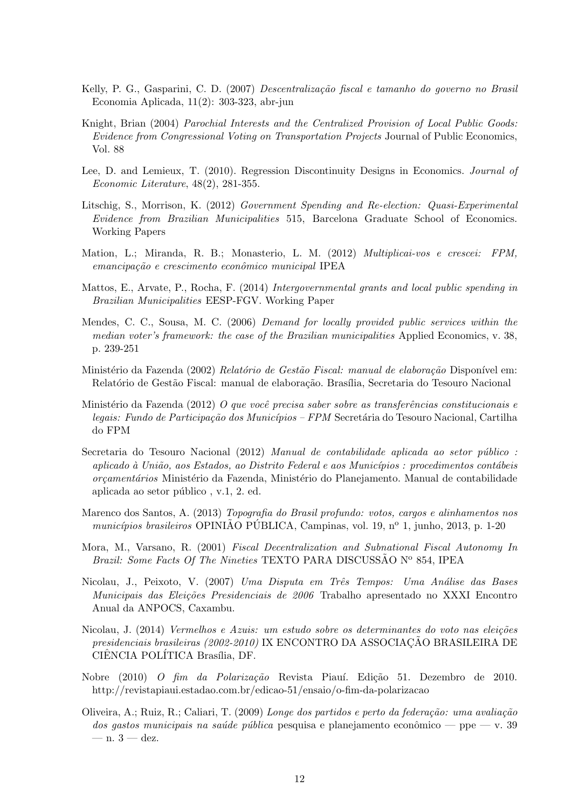- Kelly, P. G., Gasparini, C. D. (2007) Descentralização fiscal e tamanho do governo no Brasil Economia Aplicada, 11(2): 303-323, abr-jun
- Knight, Brian (2004) Parochial Interests and the Centralized Provision of Local Public Goods: Evidence from Congressional Voting on Transportation Projects Journal of Public Economics, Vol. 88
- Lee, D. and Lemieux, T. (2010). Regression Discontinuity Designs in Economics. Journal of Economic Literature, 48(2), 281-355.
- Litschig, S., Morrison, K. (2012) Government Spending and Re-election: Quasi-Experimental Evidence from Brazilian Municipalities 515, Barcelona Graduate School of Economics. Working Papers
- Mation, L.; Miranda, R. B.; Monasterio, L. M. (2012) Multiplicai-vos e crescei: FPM, emancipação e crescimento econômico municipal IPEA
- Mattos, E., Arvate, P., Rocha, F. (2014) Intergovernmental grants and local public spending in Brazilian Municipalities EESP-FGV. Working Paper
- Mendes, C. C., Sousa, M. C. (2006) Demand for locally provided public services within the median voter's framework: the case of the Brazilian municipalities Applied Economics, v. 38, p. 239-251
- Ministério da Fazenda (2002) Relatório de Gestão Fiscal: manual de elaboração Disponível em: Relatório de Gestão Fiscal: manual de elaboração. Brasília, Secretaria do Tesouro Nacional
- Ministério da Fazenda (2012) O que você precisa saber sobre as transferências constitucionais e legais: Fundo de Participação dos Municípios – FPM Secretária do Tesouro Nacional, Cartilha do FPM
- Secretaria do Tesouro Nacional (2012) Manual de contabilidade aplicada ao setor público : aplicado à União, aos Estados, ao Distrito Federal e aos Municípios : procedimentos contábeis orçamentários Ministério da Fazenda, Ministério do Planejamento. Manual de contabilidade aplicada ao setor público, v.1, 2. ed.
- Marenco dos Santos, A. (2013) Topografia do Brasil profundo: votos, cargos e alinhamentos nos municípios brasileiros OPINIAO PÚBLICA, Campinas, vol. 19, nº 1, junho, 2013, p. 1-20
- Mora, M., Varsano, R. (2001) Fiscal Decentralization and Subnational Fiscal Autonomy In Brazil: Some Facts Of The Nineties TEXTO PARA DISCUSSAO  $N^{\circ}$  854, IPEA
- Nicolau, J., Peixoto, V. (2007) Uma Disputa em Três Tempos: Uma Análise das Bases Municipais das Eleições Presidenciais de 2006 Trabalho apresentado no XXXI Encontro Anual da ANPOCS, Caxambu.
- Nicolau, J. (2014) *Vermelhos e Azuis: um estudo sobre os determinantes do voto nas eleições* presidenciais brasileiras (2002-2010) IX ENCONTRO DA ASSOCIAÇÃO BRASILEIRA DE CIÊNCIA POLÍTICA Brasília, DF.
- Nobre (2010) O fim da Polarização Revista Piauí. Edição 51. Dezembro de 2010. http://revistapiaui.estadao.com.br/edicao-51/ensaio/o-fim-da-polarizacao
- Oliveira, A.; Ruiz, R.; Caliari, T. (2009) Longe dos partidos e perto da federação: uma avaliação dos gastos municipais na saúde pública pesquisa e planejamento econômico — ppe — v. 39  $-$  n.  $3 -$  dez.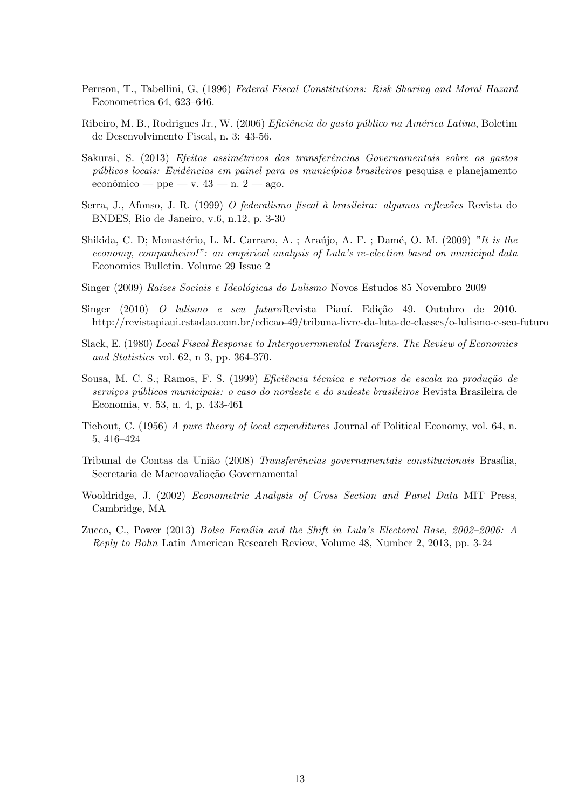- Perrson, T., Tabellini, G, (1996) Federal Fiscal Constitutions: Risk Sharing and Moral Hazard Econometrica 64, 623–646.
- Ribeiro, M. B., Rodrigues Jr., W. (2006) *Eficiência do gasto público na América Latina*, Boletim de Desenvolvimento Fiscal, n. 3: 43-56.
- Sakurai, S. (2013) Efeitos assimétricos das transferências Governamentais sobre os gastos públicos locais: Evidências em painel para os municípios brasileiros pesquisa e planejamento econômico — ppe — v.  $43$  — n.  $2$  — ago.
- Serra, J., Afonso, J. R. (1999) O federalismo fiscal à brasileira: algumas reflexões Revista do BNDES, Rio de Janeiro, v.6, n.12, p. 3-30
- Shikida, C. D; Monastério, L. M. Carraro, A. ; Araújo, A. F. ; Damé, O. M. (2009) "It is the economy, companheiro!": an empirical analysis of Lula's re-election based on municipal data Economics Bulletin. Volume 29 Issue 2
- Singer (2009) Raízes Sociais e Ideológicas do Lulismo Novos Estudos 85 Novembro 2009
- Singer (2010) O lulismo e seu futuroRevista Piauí. Edição 49. Outubro de 2010. http://revistapiaui.estadao.com.br/edicao-49/tribuna-livre-da-luta-de-classes/o-lulismo-e-seu-futuro
- Slack, E. (1980) Local Fiscal Response to Intergovernmental Transfers. The Review of Economics and Statistics vol. 62, n 3, pp. 364-370.
- Sousa, M. C. S.; Ramos, F. S. (1999) *Eficiência técnica e retornos de escala na produção de* serviços públicos municipais: o caso do nordeste e do sudeste brasileiros Revista Brasileira de Economia, v. 53, n. 4, p. 433-461
- Tiebout, C. (1956) A pure theory of local expenditures Journal of Political Economy, vol. 64, n. 5, 416–424
- Tribunal de Contas da União (2008) Transferências governamentais constitucionais Brasília. Secretaria de Macroavaliação Governamental
- Wooldridge, J. (2002) Econometric Analysis of Cross Section and Panel Data MIT Press, Cambridge, MA
- Zucco, C., Power (2013) Bolsa Família and the Shift in Lula's Electoral Base, 2002–2006: A Reply to Bohn Latin American Research Review, Volume 48, Number 2, 2013, pp. 3-24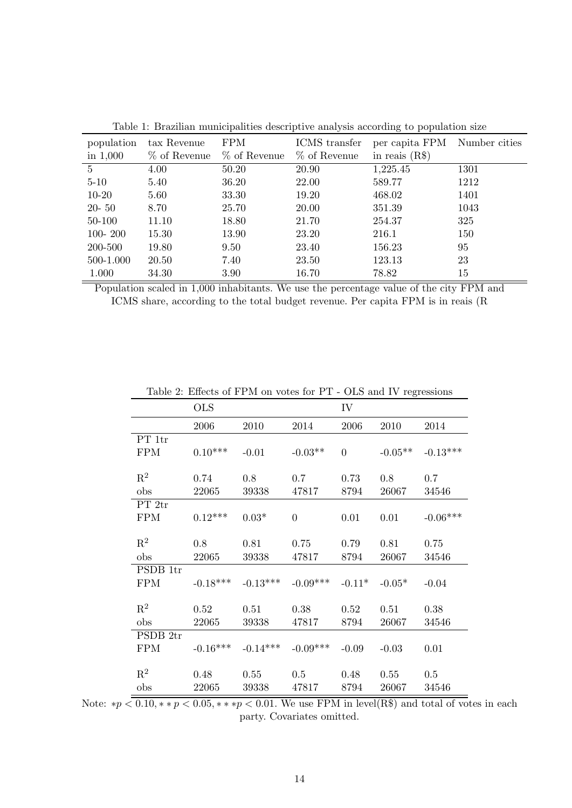| <u>raone is Brasilian mame.pandos doserp</u> are ama <sub>p</sub> olo according to population sile |              |              |                |                              |      |  |  |  |  |  |
|----------------------------------------------------------------------------------------------------|--------------|--------------|----------------|------------------------------|------|--|--|--|--|--|
| population                                                                                         | tax Revenue  | <b>FPM</b>   | ICMS transfer  | per capita FPM Number cities |      |  |  |  |  |  |
| in $1,000$                                                                                         | % of Revenue | % of Revenue | $%$ of Revenue | in reais $(R$)$              |      |  |  |  |  |  |
| $\overline{5}$                                                                                     | 4.00         | 50.20        | 20.90          | 1,225.45                     | 1301 |  |  |  |  |  |
| $5 - 10$                                                                                           | 5.40         | 36.20        | 22.00          | 589.77                       | 1212 |  |  |  |  |  |
| $10-20$                                                                                            | 5.60         | 33.30        | 19.20          | 468.02                       | 1401 |  |  |  |  |  |
| $20 - 50$                                                                                          | 8.70         | 25.70        | 20.00          | 351.39                       | 1043 |  |  |  |  |  |
| 50-100                                                                                             | 11.10        | 18.80        | 21.70          | 254.37                       | 325  |  |  |  |  |  |
| $100 - 200$                                                                                        | 15.30        | 13.90        | 23.20          | 216.1                        | 150  |  |  |  |  |  |
| 200-500                                                                                            | 19.80        | 9.50         | 23.40          | 156.23                       | 95   |  |  |  |  |  |
| 500-1.000                                                                                          | 20.50        | 7.40         | 23.50          | 123.13                       | 23   |  |  |  |  |  |
| 1.000                                                                                              | 34.30        | 3.90         | 16.70          | 78.82                        | 15   |  |  |  |  |  |

Table 1: Brazilian municipalities descriptive analysis according to population size

Population scaled in 1,000 inhabitants. We use the percentage value of the city FPM and ICMS share, according to the total budget revenue. Per capita FPM is in reais (R

|                | <b>OLS</b> |            |                | IV             |           |            |
|----------------|------------|------------|----------------|----------------|-----------|------------|
|                | 2006       | 2010       | 2014           | 2006           | 2010      | 2014       |
| PT 1tr         |            |            |                |                |           |            |
| <b>FPM</b>     | $0.10***$  | $-0.01$    | $-0.03**$      | $\overline{0}$ | $-0.05**$ | $-0.13***$ |
|                |            |            |                |                |           |            |
| $\mathbf{R}^2$ | 0.74       | 0.8        | 0.7            | 0.73           | 0.8       | 0.7        |
| obs            | 22065      | 39338      | 47817          | 8794           | 26067     | 34546      |
| PT 2tr         |            |            |                |                |           |            |
| <b>FPM</b>     | $0.12***$  | $0.03*$    | $\overline{0}$ | 0.01           | 0.01      | $-0.06***$ |
|                |            |            |                |                |           |            |
| $\mathrm{R}^2$ | 0.8        | $0.81\,$   | 0.75           | 0.79           | 0.81      | 0.75       |
| obs            | 22065      | 39338      | 47817          | 8794           | 26067     | 34546      |
| PSDB 1tr       |            |            |                |                |           |            |
| <b>FPM</b>     | $-0.18***$ | $-0.13***$ | $-0.09***$     | $-0.11*$       | $-0.05*$  | $-0.04$    |
|                |            |            |                |                |           |            |
| $\mathrm{R}^2$ | 0.52       | 0.51       | 0.38           | 0.52           | 0.51      | 0.38       |
| obs            | 22065      | 39338      | 47817          | 8794           | 26067     | 34546      |
| PSDB 2tr       |            |            |                |                |           |            |
| <b>FPM</b>     | $-0.16***$ | $-0.14***$ | $-0.09***$     | $-0.09$        | $-0.03$   | 0.01       |
|                |            |            |                |                |           |            |
| $\mathbf{R}^2$ | 0.48       | $0.55\,$   | 0.5            | 0.48           | 0.55      | 0.5        |
| obs            | 22065      | 39338      | 47817          | 8794           | 26067     | 34546      |
|                |            |            |                |                |           |            |

Table 2: Effects of FPM on votes for PT - OLS and IV regressions

Note: \* $p < 0.10$ , \* \*  $p < 0.05$ , \* \* \* $p < 0.01$ . We use FPM in level(R\$) and total of votes in each party. Covariates omitted.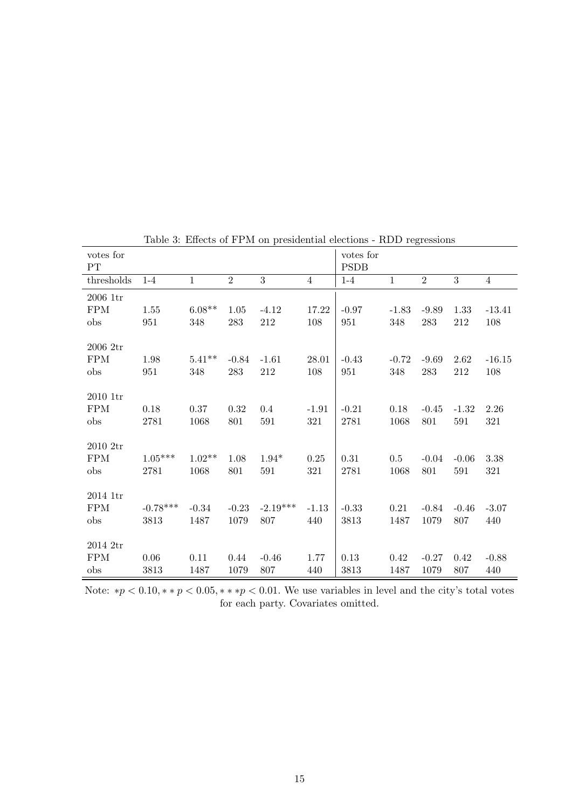| Table 5: Effects of FPM on presidential elections - RDD regressions |                    |                  |                 |                   |                 |                          |                 |                 |                |                 |
|---------------------------------------------------------------------|--------------------|------------------|-----------------|-------------------|-----------------|--------------------------|-----------------|-----------------|----------------|-----------------|
| votes for<br>PT                                                     |                    |                  |                 |                   |                 | votes for<br><b>PSDB</b> |                 |                 |                |                 |
| thresholds                                                          | $1 - 4$            | $1\,$            | $\overline{2}$  | $\overline{3}$    | $\overline{4}$  | $1 - 4$                  | $\mathbf{1}$    | $\overline{2}$  | $\overline{3}$ | $\overline{4}$  |
| 2006 1tr<br><b>FPM</b><br>obs                                       | 1.55<br>951        | $6.08**$<br>348  | 1.05<br>283     | $-4.12$<br>212    | 17.22<br>108    | $-0.97$<br>951           | $-1.83$<br>348  | $-9.89$<br>283  | 1.33<br>212    | $-13.41$<br>108 |
| 2006 2tr<br><b>FPM</b><br>obs                                       | 1.98<br>951        | $5.41**$<br>348  | $-0.84$<br>283  | $-1.61$<br>212    | 28.01<br>108    | $-0.43$<br>951           | $-0.72$<br>348  | $-9.69$<br>283  | 2.62<br>212    | $-16.15$<br>108 |
| 2010 1tr<br><b>FPM</b><br>obs                                       | 0.18<br>2781       | 0.37<br>1068     | 0.32<br>801     | 0.4<br>591        | $-1.91$<br>321  | $-0.21$<br>2781          | 0.18<br>1068    | $-0.45$<br>801  | $-1.32$<br>591 | 2.26<br>321     |
| 2010 2tr<br><b>FPM</b><br>obs                                       | $1.05***$<br>2781  | $1.02**$<br>1068 | 1.08<br>801     | $1.94*$<br>591    | $0.25\,$<br>321 | $0.31\,$<br>2781         | $0.5\,$<br>1068 | $-0.04$<br>801  | $-0.06$<br>591 | 3.38<br>321     |
| 2014 1tr<br><b>FPM</b><br>obs                                       | $-0.78***$<br>3813 | $-0.34$<br>1487  | $-0.23$<br>1079 | $-2.19***$<br>807 | $-1.13$<br>440  | $-0.33$<br>3813          | 0.21<br>1487    | $-0.84$<br>1079 | $-0.46$<br>807 | $-3.07$<br>440  |
| 2014 2tr<br><b>FPM</b><br>obs                                       | 0.06<br>3813       | 0.11<br>1487     | 0.44<br>1079    | $-0.46$<br>807    | 1.77<br>440     | 0.13<br>3813             | 0.42<br>1487    | $-0.27$<br>1079 | 0.42<br>807    | $-0.88$<br>440  |

Table 3: Effects of FPM on presidential elections - RDD regressions

Note: \* $p < 0.10$ , \* \*  $p < 0.05$ , \* \* \* $p < 0.01$ . We use variables in level and the city's total votes for each party. Covariates omitted.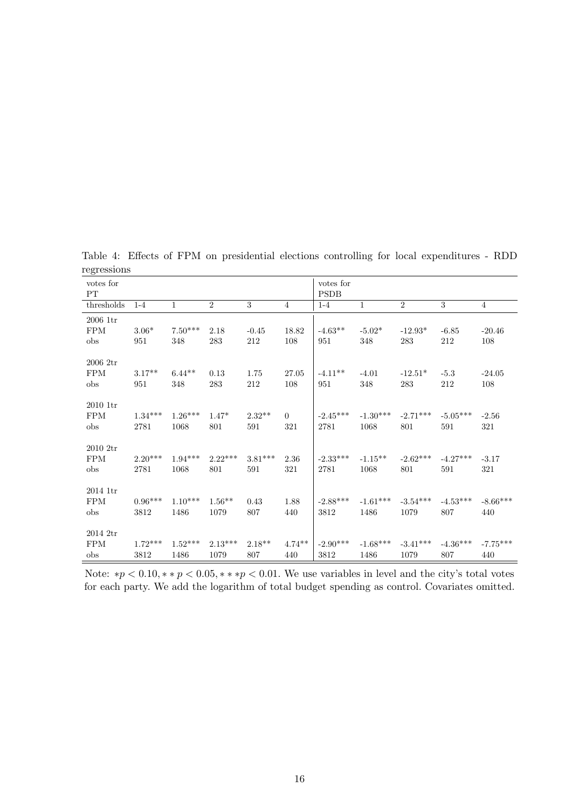| votes for<br>PT                    |                   |                   |                   |                  |                 | votes for<br><b>PSDB</b> |                    |                    |                   |                   |
|------------------------------------|-------------------|-------------------|-------------------|------------------|-----------------|--------------------------|--------------------|--------------------|-------------------|-------------------|
| thresholds                         | $1 - 4$           | $\mathbf{1}$      | $\overline{2}$    | $\sqrt{3}$       | $\overline{4}$  | $1-4$                    | $1\,$              | $\overline{2}$     | 3                 | $\overline{4}$    |
| $2006$ 1tr                         |                   |                   |                   |                  |                 |                          |                    |                    |                   |                   |
| <b>FPM</b>                         | $3.06*$           | $7.50***$         | 2.18              | $-0.45$          | 18.82           | $-4.63**$                | $-5.02*$           | $-12.93*$          | $-6.85$           | $-20.46$          |
| obs                                | 951               | 348               | 283               | 212              | 108             | 951                      | 348                | 283                | 212               | 108               |
| 20062tr<br><b>FPM</b><br>obs       | $3.17**$<br>951   | $6.44**$<br>348   | 0.13<br>283       | 1.75<br>212      | 27.05<br>108    | $-4.11**$<br>951         | $-4.01$<br>348     | $-12.51*$<br>283   | $-5.3$<br>212     | $-24.05$<br>108   |
| $2010-1$ tr<br><b>FPM</b><br>obs   | $1.34***$<br>2781 | $1.26***$<br>1068 | $1.47*$<br>801    | $2.32**$<br>591  | $\Omega$<br>321 | $-2.45***$<br>2781       | $-1.30***$<br>1068 | $-2.71***$<br>801  | $-5.05***$<br>591 | $-2.56$<br>321    |
| $2010 \; 2tr$<br><b>FPM</b><br>obs | $2.20***$<br>2781 | $1.94***$<br>1068 | $2.22***$<br>801  | $3.81***$<br>591 | 2.36<br>321     | $-2.33***$<br>2781       | $-1.15***$<br>1068 | $-2.62***$<br>801  | $-4.27***$<br>591 | $-3.17$<br>321    |
| $2014$ 1tr<br><b>FPM</b><br>obs    | $0.96***$<br>3812 | $1.10***$<br>1486 | $1.56**$<br>1079  | 0.43<br>807      | 1.88<br>440     | $-2.88***$<br>3812       | $-1.61***$<br>1486 | $-3.54***$<br>1079 | $-4.53***$<br>807 | $-8.66***$<br>440 |
| $2014$ 2tr<br><b>FPM</b><br>obs    | $1.72***$<br>3812 | $1.52***$<br>1486 | $2.13***$<br>1079 | $2.18**$<br>807  | $4.74**$<br>440 | $-2.90***$<br>3812       | $-1.68***$<br>1486 | $-3.41***$<br>1079 | $-4.36***$<br>807 | $-7.75***$<br>440 |

Table 4: Effects of FPM on presidential elections controlling for local expenditures - RDD regressions

Note: \* $p < 0.10$ , \* \*  $p < 0.05$ , \* \* \* $p < 0.01$ . We use variables in level and the city's total votes for each party. We add the logarithm of total budget spending as control. Covariates omitted.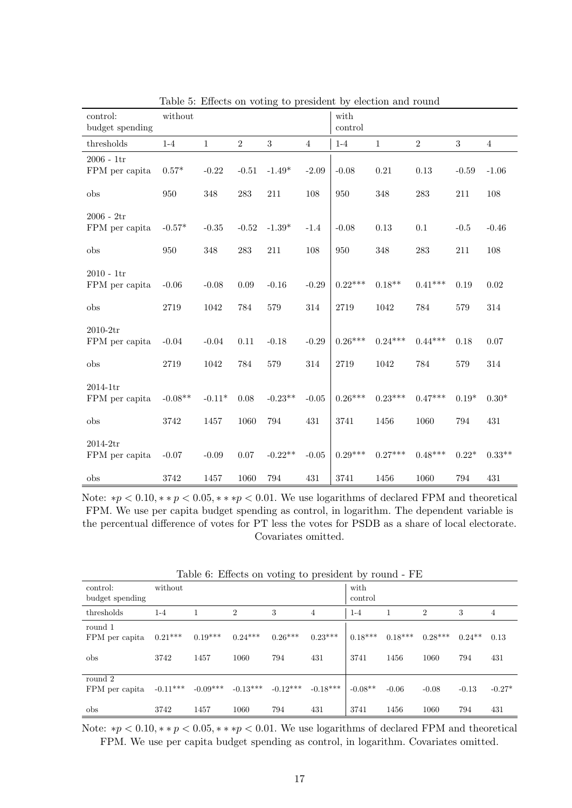|                                | $10000$ $\sigma$ . Encore on voumage |              |                |           | to probleme by |                 | croceron and round |                |         |                |
|--------------------------------|--------------------------------------|--------------|----------------|-----------|----------------|-----------------|--------------------|----------------|---------|----------------|
| control:<br>budget spending    | without                              |              |                |           |                | with<br>control |                    |                |         |                |
| thresholds                     | $1-4$                                | $\mathbf{1}$ | $\overline{2}$ | 3         | $\overline{4}$ | $1-4$           | $\mathbf{1}$       | $\overline{2}$ | 3       | $\overline{4}$ |
| $2006 - 1tr$<br>FPM per capita | $0.57*$                              | $-0.22$      | $-0.51$        | $-1.49*$  | $-2.09$        | $-0.08$         | $\rm 0.21$         | 0.13           | $-0.59$ | $-1.06$        |
| obs                            | 950                                  | 348          | 283            | 211       | 108            | 950             | 348                | 283            | 211     | 108            |
| $2006 - 2tr$<br>FPM per capita | $-0.57*$                             | $-0.35$      | $-0.52$        | $-1.39*$  | $-1.4$         | $-0.08$         | 0.13               | 0.1            | $-0.5$  | $-0.46$        |
| obs                            | 950                                  | 348          | 283            | 211       | 108            | 950             | 348                | 283            | 211     | 108            |
| $2010 - 1tr$<br>FPM per capita | $-0.06$                              | $-0.08$      | 0.09           | $-0.16$   | $-0.29$        | $0.22***$       | $0.18**$           | $0.41***$      | 0.19    | 0.02           |
| obs                            | 2719                                 | 1042         | 784            | 579       | 314            | 2719            | 1042               | 784            | 579     | 314            |
| $2010-2tr$<br>FPM per capita   | $-0.04$                              | $-0.04$      | $0.11\,$       | $-0.18$   | $-0.29$        | $0.26***$       | $0.24***$          | $0.44***$      | 0.18    | 0.07           |
| obs                            | 2719                                 | 1042         | 784            | 579       | 314            | 2719            | 1042               | 784            | 579     | 314            |
| $2014-1tr$<br>FPM per capita   | $-0.08**$                            | $-0.11*$     | 0.08           | $-0.23**$ | $-0.05$        | $0.26***$       | $0.23***$          | $0.47***$      | $0.19*$ | $0.30*$        |
| obs                            | 3742                                 | 1457         | 1060           | 794       | 431            | 3741            | 1456               | 1060           | 794     | 431            |
| $2014-2tr$<br>FPM per capita   | $-0.07$                              | $-0.09$      | $0.07\,$       | $-0.22**$ | $-0.05$        | $0.29***$       | $0.27***$          | $0.48***$      | $0.22*$ | $0.33**$       |
| obs                            | 3742                                 | 1457         | 1060           | 794       | 431            | 3741            | 1456               | 1060           | 794     | 431            |

Table 5: Effects on voting to president by election and round

Note: \* $p < 0.10$ , \* \*  $p < 0.05$ , \* \* \* $p < 0.01$ . We use logarithms of declared FPM and theoretical FPM. We use per capita budget spending as control, in logarithm. The dependent variable is the percentual difference of votes for PT less the votes for PSDB as a share of local electorate. Covariates omitted.

| control:<br>budget spending      | without            |                    |                    |                   |                   | with<br>control   |                   |                   |                  |                 |
|----------------------------------|--------------------|--------------------|--------------------|-------------------|-------------------|-------------------|-------------------|-------------------|------------------|-----------------|
| thresholds                       | $1 - 4$            |                    | $\overline{2}$     | 3                 | $\overline{4}$    | $1 - 4$           |                   | $\overline{2}$    | 3                | $\overline{4}$  |
| round 1<br>FPM per capita<br>obs | $0.21***$<br>3742  | $0.19***$<br>1457  | $0.24***$<br>1060  | $0.26***$<br>794  | $0.23***$<br>431  | $0.18***$<br>3741 | $0.18***$<br>1456 | $0.28***$<br>1060 | $0.24***$<br>794 | 0.13<br>431     |
| round 2<br>FPM per capita<br>obs | $-0.11***$<br>3742 | $-0.09***$<br>1457 | $-0.13***$<br>1060 | $-0.12***$<br>794 | $-0.18***$<br>431 | $-0.08**$<br>3741 | $-0.06$<br>1456   | $-0.08$<br>1060   | $-0.13$<br>794   | $-0.27*$<br>431 |

Table 6: Effects on voting to president by round - FE

Note: \* $p < 0.10$ , \* \*  $p < 0.05$ , \* \* \* $p < 0.01$ . We use logarithms of declared FPM and theoretical FPM. We use per capita budget spending as control, in logarithm. Covariates omitted.